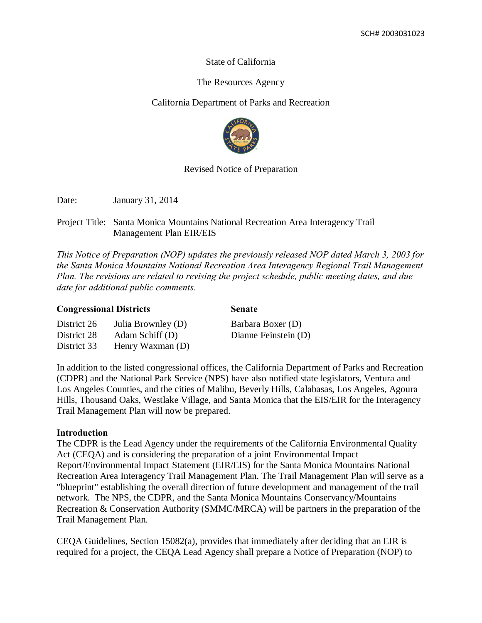# State of California

# The Resources Agency

# California Department of Parks and Recreation



# Revised Notice of Preparation

Date: January 31, 2014

District 33 Henry Waxman (D)

# Project Title: Santa Monica Mountains National Recreation Area Interagency Trail Management Plan EIR/EIS

*This Notice of Preparation (NOP) updates the previously released NOP dated March 3, 2003 for the Santa Monica Mountains National Recreation Area Interagency Regional Trail Management Plan. The revisions are related to revising the project schedule, public meeting dates, and due date for additional public comments.*

| <b>Congressional Districts</b> |                    | <b>Senate</b>        |
|--------------------------------|--------------------|----------------------|
| District 26                    | Julia Brownley (D) | Barbara Boxer (D)    |
| District 28                    | Adam Schiff(D)     | Dianne Feinstein (D) |

In addition to the listed congressional offices, the California Department of Parks and Recreation (CDPR) and the National Park Service (NPS) have also notified state legislators, Ventura and Los Angeles Counties, and the cities of Malibu, Beverly Hills, Calabasas, Los Angeles, Agoura Hills, Thousand Oaks, Westlake Village, and Santa Monica that the EIS/EIR for the Interagency Trail Management Plan will now be prepared.

# **Introduction**

The CDPR is the Lead Agency under the requirements of the California Environmental Quality Act (CEQA) and is considering the preparation of a joint Environmental Impact Report/Environmental Impact Statement (EIR/EIS) for the Santa Monica Mountains National Recreation Area Interagency Trail Management Plan. The Trail Management Plan will serve as a "blueprint" establishing the overall direction of future development and management of the trail network. The NPS, the CDPR, and the Santa Monica Mountains Conservancy/Mountains Recreation & Conservation Authority (SMMC/MRCA) will be partners in the preparation of the Trail Management Plan.

CEQA Guidelines, Section 15082(a), provides that immediately after deciding that an EIR is required for a project, the CEQA Lead Agency shall prepare a Notice of Preparation (NOP) to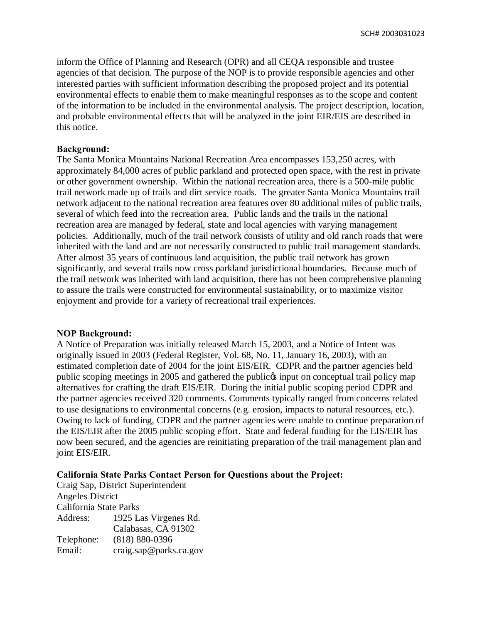inform the Office of Planning and Research (OPR) and all CEQA responsible and trustee agencies of that decision. The purpose of the NOP is to provide responsible agencies and other interested parties with sufficient information describing the proposed project and its potential environmental effects to enable them to make meaningful responses as to the scope and content of the information to be included in the environmental analysis. The project description, location, and probable environmental effects that will be analyzed in the joint EIR/EIS are described in this notice.

### **Background:**

The Santa Monica Mountains National Recreation Area encompasses 153,250 acres, with approximately 84,000 acres of public parkland and protected open space, with the rest in private or other government ownership. Within the national recreation area, there is a 500-mile public trail network made up of trails and dirt service roads. The greater Santa Monica Mountains trail network adjacent to the national recreation area features over 80 additional miles of public trails, several of which feed into the recreation area. Public lands and the trails in the national recreation area are managed by federal, state and local agencies with varying management policies. Additionally, much of the trail network consists of utility and old ranch roads that were inherited with the land and are not necessarily constructed to public trail management standards. After almost 35 years of continuous land acquisition, the public trail network has grown significantly, and several trails now cross parkland jurisdictional boundaries. Because much of the trail network was inherited with land acquisition, there has not been comprehensive planning to assure the trails were constructed for environmental sustainability, or to maximize visitor enjoyment and provide for a variety of recreational trail experiences.

### **NOP Background:**

A Notice of Preparation was initially released March 15, 2003, and a Notice of Intent was originally issued in 2003 (Federal Register, Vol. 68, No. 11, January 16, 2003), with an estimated completion date of 2004 for the joint EIS/EIR. CDPR and the partner agencies held public scoping meetings in 2005 and gathered the public input on conceptual trail policy map alternatives for crafting the draft EIS/EIR. During the initial public scoping period CDPR and the partner agencies received 320 comments. Comments typically ranged from concerns related to use designations to environmental concerns (e.g. erosion, impacts to natural resources, etc.). Owing to lack of funding, CDPR and the partner agencies were unable to continue preparation of the EIS/EIR after the 2005 public scoping effort. State and federal funding for the EIS/EIR has now been secured, and the agencies are reinitiating preparation of the trail management plan and joint EIS/EIR.

#### **California State Parks Contact Person for Questions about the Project:**

Craig Sap, District Superintendent Angeles District California State Parks Address: 1925 Las Virgenes Rd. Calabasas, CA 91302 Telephone: (818) 880-0396 Email: craig.sap@parks.ca.gov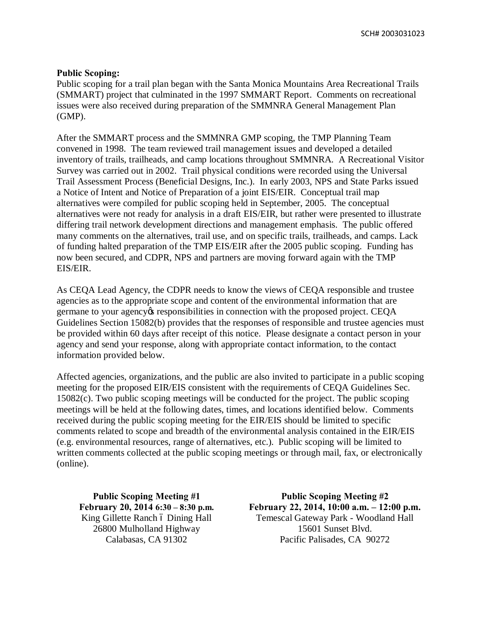SCH# 2003031023

### **Public Scoping:**

Public scoping for a trail plan began with the Santa Monica Mountains Area Recreational Trails (SMMART) project that culminated in the 1997 SMMART Report. Comments on recreational issues were also received during preparation of the SMMNRA General Management Plan (GMP).

After the SMMART process and the SMMNRA GMP scoping, the TMP Planning Team convened in 1998. The team reviewed trail management issues and developed a detailed inventory of trails, trailheads, and camp locations throughout SMMNRA. A Recreational Visitor Survey was carried out in 2002. Trail physical conditions were recorded using the Universal Trail Assessment Process (Beneficial Designs, Inc.). In early 2003, NPS and State Parks issued a Notice of Intent and Notice of Preparation of a joint EIS/EIR. Conceptual trail map alternatives were compiled for public scoping held in September, 2005. The conceptual alternatives were not ready for analysis in a draft EIS/EIR, but rather were presented to illustrate differing trail network development directions and management emphasis. The public offered many comments on the alternatives, trail use, and on specific trails, trailheads, and camps. Lack of funding halted preparation of the TMP EIS/EIR after the 2005 public scoping. Funding has now been secured, and CDPR, NPS and partners are moving forward again with the TMP EIS/EIR.

As CEQA Lead Agency, the CDPR needs to know the views of CEQA responsible and trustee agencies as to the appropriate scope and content of the environmental information that are germane to your agency tesponsibilities in connection with the proposed project. CEQA Guidelines Section 15082(b) provides that the responses of responsible and trustee agencies must be provided within 60 days after receipt of this notice. Please designate a contact person in your agency and send your response, along with appropriate contact information, to the contact information provided below.

Affected agencies, organizations, and the public are also invited to participate in a public scoping meeting for the proposed EIR/EIS consistent with the requirements of CEQA Guidelines Sec. 15082(c). Two public scoping meetings will be conducted for the project. The public scoping meetings will be held at the following dates, times, and locations identified below. Comments received during the public scoping meeting for the EIR/EIS should be limited to specific comments related to scope and breadth of the environmental analysis contained in the EIR/EIS (e.g. environmental resources, range of alternatives, etc.). Public scoping will be limited to written comments collected at the public scoping meetings or through mail, fax, or electronically (online).

**Public Scoping Meeting #1 February 20, 2014 6:30 – 8:30 p.m.** King Gillette Ranch ó Dining Hall 26800 Mulholland Highway Calabasas, CA 91302

**Public Scoping Meeting #2 February 22, 2014, 10:00 a.m. – 12:00 p.m.** Temescal Gateway Park - Woodland Hall 15601 Sunset Blvd. Pacific Palisades, CA 90272